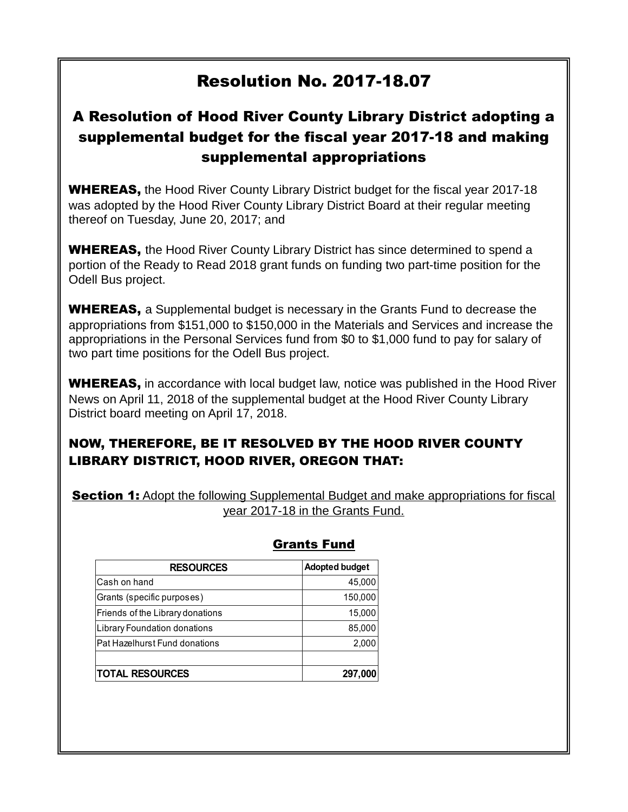## Resolution No. 2017-18.07

## A Resolution of Hood River County Library District adopting a supplemental budget for the fiscal year 2017-18 and making supplemental appropriations

**WHEREAS,** the Hood River County Library District budget for the fiscal year 2017-18 was adopted by the Hood River County Library District Board at their regular meeting thereof on Tuesday, June 20, 2017; and

**WHEREAS,** the Hood River County Library District has since determined to spend a portion of the Ready to Read 2018 grant funds on funding two part-time position for the Odell Bus project.

**WHEREAS,** a Supplemental budget is necessary in the Grants Fund to decrease the appropriations from \$151,000 to \$150,000 in the Materials and Services and increase the appropriations in the Personal Services fund from \$0 to \$1,000 fund to pay for salary of two part time positions for the Odell Bus project.

WHEREAS, in accordance with local budget law, notice was published in the Hood River News on April 11, 2018 of the supplemental budget at the Hood River County Library District board meeting on April 17, 2018.

## NOW, THEREFORE, BE IT RESOLVED BY THE HOOD RIVER COUNTY LIBRARY DISTRICT, HOOD RIVER, OREGON THAT:

**Section 1:** Adopt the following Supplemental Budget and make appropriations for fiscal year 2017-18 in the Grants Fund.

| <b>RESOURCES</b>                 | <b>Adopted budget</b> |
|----------------------------------|-----------------------|
| Cash on hand                     | 45,000                |
| Grants (specific purposes)       | 150,000               |
| Friends of the Library donations | 15,000                |
| Library Foundation donations     | 85,000                |
| Pat Hazelhurst Fund donations    | 2,000                 |
|                                  |                       |
| <b>TOTAL RESOURCES</b>           | 297,000               |

## Grants Fund